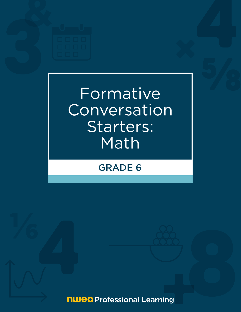

# Formative **Conversation** Starters: Math

## GRADE 6

**nwea** Professional Learning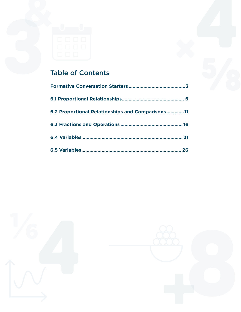

## Table of Contents

| 6.2 Proportional Relationships and Comparisons11 |
|--------------------------------------------------|
|                                                  |
|                                                  |
|                                                  |



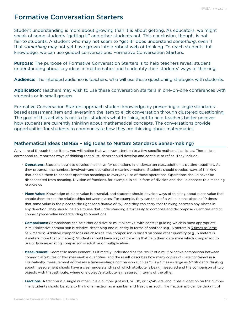## <span id="page-2-0"></span>Formative Conversation Starters

Student understanding is more about growing than it is about getting. As educators, we might speak of some students "getting it" and other students not. This conclusion, though, is not fair to students. A student who may not seem to "get it" does understand *something*, even if that *something* may not yet have grown into a robust web of thinking. To reach students' full knowledge, we can use guided conversations: Formative Conversation Starters.

**Purpose:** The purpose of Formative Conversation Starters is to help teachers reveal student understanding about key ideas in mathematics and to identify their students' ways of thinking.

**Audience:** The intended audience is teachers, who will use these questioning strategies with students.

**Application:** Teachers may wish to use these conversation starters in one-on-one conferences with students or in small groups.

Formative Conversation Starters approach student knowledge by presenting a single standardsbased assessment item and leveraging the item to elicit conversation through clustered questioning. The goal of this activity is not to tell students what to think, but to help teachers better uncover how students are currently thinking about mathematical concepts. The conversations provide opportunities for students to communicate how they are thinking about mathematics.

#### Mathematical Ideas (BINSS – Big Ideas to Nurture Standards Sense-making)

As you read through these items, you will notice that we draw attention to a few specific mathematical ideas. These ideas correspond to important ways of thinking that all students should develop and continue to refine. They include:

- **Operations:** Students begin to develop meanings for operations in kindergarten (e.g., addition is putting together). As they progress, the numbers involved—and operational meanings—extend. Students should develop ways of thinking that enable them to connect operation meanings to everyday use of those operations. Operations should never be disconnected from meaning. Division of fractions, for example, is still a form of division and should connect to a meaning of division.
- **Place Value:** Knowledge of place value is essential, and students should develop ways of thinking about place value that enable them to see the relationships between places. For example, they can think of a value in one place as 10 times that same value in the place to the right (*or a bundle of 10*), and they can carry that thinking between any places in any direction. They should be able to use that understanding effortlessly to compose and decompose quantities and to connect place-value understanding to operations.
- **Comparisons:** Comparisons can be either additive or multiplicative, with context guiding which is most appropriate. A multiplicative comparison is relative, describing one quantity in terms of another (e.g., 6 meters is 3 times as large as 2 meters). Additive comparisons are absolute; the comparison is based on some other quantity (e.g., 6 meters is 4 meters more than 2 meters). Students should have ways of thinking that help them determine which comparison to use or how an existing comparison is additive or multiplicative.
- **Measurement:** Geometric measurement is ultimately understood as the result of a multiplicative comparison between common attributes of two measurable quantities, and the result describes how many copies of *a* are contained in *b*. Equivalently, measurement addresses a times-as-large comparison such as "*a* is *n* times as large as *b*." Students thinking about measurement should have a clear understanding of which attribute is being measured and the comparison of two objects with that attribute, where one object's attribute is measured in terms of the other.
- **Fractions:** A fraction is a single number. It is a number just as 1, or 100, or 37,549 are, and it has a location on the number line. Students should be able to think of a fraction as a number and treat it as such. The fraction *a/b* can be thought of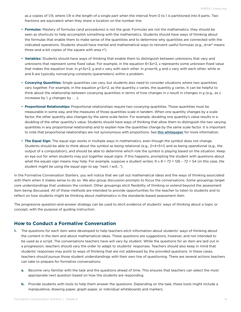as *a* copies of 1/*b*, where 1/*b* is the length of a single part when the interval from 0 to 1 is partitioned into *b* parts. Two fractions are equivalent when they share a location on the number line.

- **Formulas:** Mastery of formulas (and procedures) is not the goal. Formulas are not the mathematics; they should be seen as shortcuts to help accomplish something with the mathematics. Students should have ways of thinking about the formulas that enable them to make sense of the quantities and to determine why quantities are connected with the indicated operations. Students should have mental and mathematical ways to reinvent useful formulas (e.g., *A*=*πr*2 means three-and-a-bit copies of the square with area *r*2).
- **Variables:** Students should have ways of thinking that enable them to distinguish between unknowns that vary and unknowns that represent some fixed value. For example, in the equation 6=3*x*+2, *x* represents some unknown fixed value that makes the equation true. In *y*=3*x*+2, *y* and *x* vary with each other. In *y*=*mx*+*b*, *y* and *x* vary with each other, while *m* and *b* are typically nonvarying constants (parameters) within a problem.
- **Covarying Quantities:** Single quantities can vary, but students also need to consider situations where two quantities vary together. For example, in the equation *y*=3*x*+2, as the quantity *x* varies, the quantity *y* varies. It can be helpful to think about the relationship between covarying quantities in terms of how changes in *x* result in changes in *y* (e.g., as *x* increases by 1, *y* changes by . . .).
- **Proportional Relationships:** Proportional relationships require two covarying quantities. Those quantities must be measurable in some way, and the measures of those quantities scale in tandem. When one quantity changes by a scale factor, the other quantity also changes by the same scale factor. For example, doubling one quantity's value results in a doubling of the other quantity's value. Students should have ways of thinking that allow them to distinguish the two varying quantities in any proportional relationship and to explain how the quantities change by the same scale factor. It is important to note that proportional relationships are not synonymous with proportions. See [this](https://www.nwea.org/resource-library/map-growth-research-guidance/proportional-relationships-decluttered-white-paper-oct20-3) whitepaper for more information.
- **The Equal Sign:** The equal sign works in multiple ways in mathematics, even though the symbol does not change. Students should be able to think about the symbol as being relational (e.g., 2+4=5+1) and as being operational (e.g., the output of a computation), and should be able to determine which role the symbol is playing based on the situation. Keep an eye out for when students may put together equal signs. If this happens, prompting the student with questions about what the equals sign means may help. For example, suppose a student writes: 9 x 8 = 72 = 126 – 72 = 54 (*in this case, the student might be using the equal sign to say "next, I will..."*).

In the Formative Conversation Starters, you will notice that we call out mathematical ideas and the ways of thinking associated with them when it makes sense to do so. We also group discussion prompts to focus the conversations. Some groupings target core understandings that underpin the content. Other groupings elicit flexibility of thinking or extend beyond the assessment item being discussed. All of these methods are intended to provide opportunities for the teacher to listen to students and to reflect on how students might be thinking about mathematics in the standards-based assessment item.

The progressive question-and-answer strategy can be used to elicit evidence of students' ways of thinking about a topic or concept, with the purpose of guiding instruction.

#### **How to Conduct a Formative Conversation**

- **1.** The questions for each item were developed to help teachers elicit information about students' ways of thinking about the content in the item and about mathematical ideas. These questions are suggestions, however, and not intended to be used as a script. The conversations teachers have will vary by student. While the questions for an item are laid out in a progression, teachers should vary the order to adapt to students' responses. Teachers should also keep in mind that students' responses may point to ways of thinking that are not addressed by the provided questions. In these cases, teachers should pursue those student understandings with their own line of questioning. There are several actions teachers can take to prepare for formative conversations:
	- **a.** Become very familiar with the task and the questions ahead of time. This ensures that teachers can select the most appropriate next question based on how the students are responding.
	- **b.** Provide students with tools to help them answer the questions. Depending on the task, these tools might include a manipulative, drawing paper, graph paper, or individual whiteboards and markers.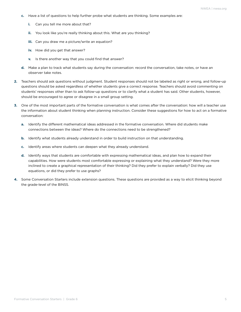- **c.** Have a list of questions to help further probe what students are thinking. Some examples are:
	- **i.** Can you tell me more about that?
	- **ii.** You look like you're really thinking about this. What are you thinking?
	- **iii.** Can you draw me a picture/write an equation?
	- **iv.** How did you get that answer?
	- **v.** Is there another way that you could find that answer?
- **d.** Make a plan to track what students say during the conversation: record the conversation, take notes, or have an observer take notes.
- **2.** Teachers should ask questions without judgment. Student responses should not be labeled as right or wrong, and follow-up questions should be asked regardless of whether students give a correct response. Teachers should avoid commenting on students' responses other than to ask follow-up questions or to clarify what a student has said. Other students, however, should be encouraged to agree or disagree in a small group setting.
- **3.** One of the most important parts of the formative conversation is what comes after the conversation: how will a teacher use the information about student thinking when planning instruction. Consider these suggestions for how to act on a formative conversation:
	- **a.** Identify the different mathematical ideas addressed in the formative conversation. Where did students make connections between the ideas? Where do the connections need to be strengthened?
	- **b.** Identify what students already understand in order to build instruction on that understanding.
	- **c.** Identify areas where students can deepen what they already understand.
	- **d.** Identify ways that students are comfortable with expressing mathematical ideas, and plan how to expand their capabilities. How were students most comfortable expressing or explaining what they understand? Were they more inclined to create a graphical representation of their thinking? Did they prefer to explain verbally? Did they use equations, or did they prefer to use graphs?
- **4.** Some Conversation Starters include extension questions. These questions are provided as a way to elicit thinking beyond the grade-level of the BINSS.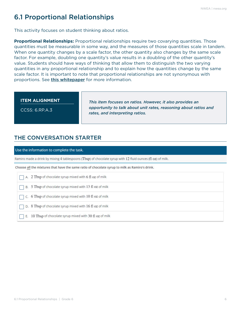## <span id="page-5-0"></span>6.1 Proportional Relationships

This activity focuses on student thinking about ratios.

**Proportional Relationships:** Proportional relationships require two covarying quantities. Those quantities must be measurable in some way, and the measures of those quantities scale in tandem. When one quantity changes by a scale factor, the other quantity also changes by the same scale factor. For example, doubling one quantity's value results in a doubling of the other quantity's value. Students should have ways of thinking that allow them to distinguish the two varying quantities in any proportional relationship and to explain how the quantities change by the same scale factor. It is important to note that proportional relationships are not synonymous with proportions. See **[this](https://www.nwea.org/resource-library/map-growth-research-guidance/proportional-relationships-decluttered-white-paper-oct20-3) whitepaper** for more information.

#### **ITEM ALIGNMENT**

CCSS: 6.RP.A.3

*This item focuses on ratios. However, it also provides an opportunity to talk about unit rates, reasoning about ratios and rates, and interpreting ratios.* 

## THE CONVERSATION STARTER

#### Use the information to complete the task.

Ramiro made a drink by mixing 4 tablespoons (Tbsp) of chocolate syrup with 12 fluid ounces (fl oz) of milk.

Choose all the mixtures that have the same ratio of chocolate syrup to milk as Ramiro's drink.

|  |  |  | $\Box$ A. 2 Tbsp of chocolate syrup mixed with 6 fl oz of milk |  |  |  |
|--|--|--|----------------------------------------------------------------|--|--|--|
|--|--|--|----------------------------------------------------------------|--|--|--|

B. 5 Tbsp of chocolate syrup mixed with 13 fl oz of milk

C. 6 Tbsp of chocolate syrup mixed with 10 fl oz of milk

- D. 8 Tbsp of chocolate syrup mixed with 16 fl oz of milk
- $\top$  E. 10 Tbsp of chocolate syrup mixed with 30 fl oz of milk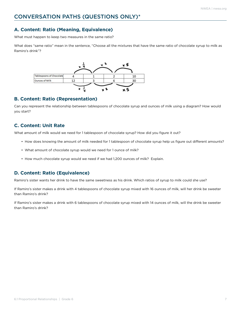#### **A. Content: Ratio (Meaning, Equivalence)**

What must happen to keep two measures in the same ratio?

What does "same ratio" mean in the sentence, "Choose all the mixtures that have the same ratio of chocolate syrup to milk as Ramiro's drink"?



#### **B. Content: Ratio (Representation)**

Can you represent the relationship between tablespoons of chocolate syrup and ounces of milk using a diagram? How would you start?

#### **C. Content: Unit Rate**

What amount of milk would we need for 1 tablespoon of chocolate syrup? How did you figure it out?

- How does knowing the amount of milk needed for 1 tablespoon of chocolate syrup help us figure out different amounts?
- What amount of chocolate syrup would we need for 1 ounce of milk?
- How much chocolate syrup would we need if we had 1,200 ounces of milk? Explain.

#### **D. Content: Ratio (Equivalence)**

Ramiro's sister wants her drink to have the same sweetness as his drink. Which ratios of syrup to milk could she use?

If Ramiro's sister makes a drink with 4 tablespoons of chocolate syrup mixed with 16 ounces of milk, will her drink be sweeter than Ramiro's drink?

If Ramiro's sister makes a drink with 6 tablespoons of chocolate syrup mixed with 14 ounces of milk, will the drink be sweeter than Ramiro's drink?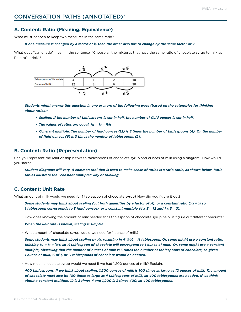### CONVERSATION PATHS (ANNOTATED)\*

#### **A. Content: Ratio (Meaning, Equivalence)**

What must happen to keep two measures in the same ratio?

#### *If one measure is changed by a factor of* **k***, then the other also has to change by the same factor of* **k***.*

What does "same ratio" mean in the sentence, "Choose all the mixtures that have the same ratio of chocolate syrup to milk as Ramiro's drink"?



*Students might answer this question in one or more of the following ways (based on the categories for thinking about ratios):*

- *• Scaling: If the number of tablespoons is cut in half, the number of fluid ounces is cut in half.*
- *• The values of ratios are equal: 4/12 = 2/6 = 10/30*
- *• Constant multiple: The number of fluid ounces (12) is 3 times the number of tablespoons (4). Or, the number of fluid ounces (6) is 3 times the number of tablespoons (2).*

#### **B. Content: Ratio (Representation)**

Can you represent the relationship between tablespoons of chocolate syrup and ounces of milk using a diagram? How would you start?

*Student diagrams will vary. A common tool that is used to make sense of ratios is a ratio table, as shown below. Ratio tables illustrate the "constant multiple" way of thinking.*

#### **C. Content: Unit Rate**

What amount of milk would we need for 1 tablespoon of chocolate syrup? How did you figure it out?

*Some students may think about scaling (cut both quantities by a factor of ¼), or a constant ratio (4/12 = 1/3 so 1 tablespoon corresponds to 3 fluid ounces), or a constant multiple (4 x 3 = 12 and 1 x 3 = 3).*

• How does knowing the amount of milk needed for 1 tablespoon of chocolate syrup help us figure out different amounts?

*When the unit rate is known, scaling is simpler.*

• What amount of chocolate syrup would we need for 1 ounce of milk?

Some students may think about scaling by  $\frac{1}{2}$ , resulting in  $4^*/\frac{1}{2}$  =  $\frac{1}{3}$  tablespoon. Or, some might use a constant ratio, *thinking 4/12 = 1/3 = (1/3)/1 so 1/3 tablespoon of chocolate will correspond to 1 ounce of milk. Or, some might use a constant multiple, observing that the number of ounces of milk is 3 times the number of tablespoons of chocolate, so given 1 ounce of milk, 1/3 of 1, or 1/3 tablespoons of chocolate would be needed.*

• How much chocolate syrup would we need if we had 1,200 ounces of milk? Explain.

*400 tablespoons. If we think about scaling, 1,200 ounces of milk is 100 times as large as 12 ounces of milk. The amount of chocolate must also be 100 times as large as 4 tablespoons of milk, so 400 tablespoons are needed. If we think about a constant multiple, 12 is 3 times 4 and 1,200 is 3 times 400, so 400 tablespoons.*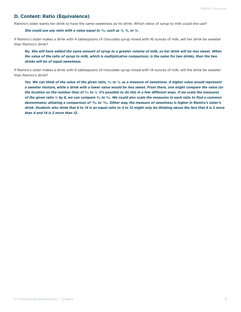#### **D. Content: Ratio (Equivalence)**

Ramiro's sister wants her drink to have the same sweetness as his drink. Which ratios of syrup to milk could she use?

She could use any ratio with a value equal to  $\frac{4}{2}$ , such as  $\frac{1}{3}$ ,  $\frac{2}{6}$ , or  $\frac{3}{2}$ .

If Ramiro's sister makes a drink with 4 tablespoons of chocolate syrup mixed with 16 ounces of milk, will her drink be sweeter than Ramiro's drink?

*No. She will have added the same amount of syrup to a greater volume of milk, so her drink will be less sweet. When the value of the ratio of syrup to milk, which is multiplicative comparison, is the same for two drinks, then the two drinks will be of equal sweetness.*

If Ramiro's sister makes a drink with 6 tablespoons of chocolate syrup mixed with 14 ounces of milk, will the drink be sweeter than Ramiro's drink?

Yes. We can think of the value of the given ratio,  $\frac{4}{2}$  or  $\frac{1}{3}$ , as a measure of sweetness. A higher value would represent *a sweeter mixture, while a drink with a lower value would be less sweet. From there, one might compare the value (or the location on the number line) of 6/14 to 1/3. It's possible to do this in a few different ways. If we scale the measures of the given ratio 1/3 by 6, we can compare 6/14 to 6/18. We could also scale the measures in each ratio to find a common denominator, allowing a comparison of 18/42 to 14/42. Either way, the measure of sweetness is higher in Ramiro's sister's drink. Students who think that 6 to 14 is an equal ratio to 4 to 12 might only be thinking about the fact that 6 is 2 more than 4 and 14 is 2 more than 12.*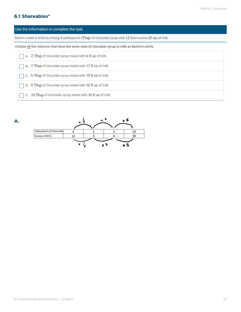#### **6.1 Shareables\***

#### Use the information to complete the task.

Ramiro made a drink by mixing 4 tablespoons (Tbsp) of chocolate syrup with 12 fluid ounces (fl oz) of milk.

Choose all the mixtures that have the same ratio of chocolate syrup to milk as Ramiro's drink.

| $\Box$ A. 2 Tbsp of chocolate syrup mixed with 6 fl oz of milk  |
|-----------------------------------------------------------------|
| B. 5 Tbsp of chocolate syrup mixed with 13 fl oz of milk        |
| $\Box$ C. 6 Tbsp of chocolate syrup mixed with 10 fl oz of milk |
| D. 8 Tbsp of chocolate syrup mixed with 16 fl oz of milk        |
| 10 Tbsp of chocolate syrup mixed with 30 fl oz of milk<br>Е.    |

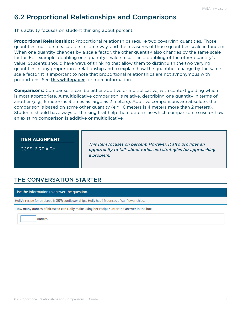## <span id="page-10-0"></span>6.2 Proportional Relationships and Comparisons

This activity focuses on student thinking about percent.

**Proportional Relationships:** Proportional relationships require two covarying quantities. Those quantities must be measurable in some way, and the measures of those quantities scale in tandem. When one quantity changes by a scale factor, the other quantity also changes by the same scale factor. For example, doubling one quantity's value results in a doubling of the other quantity's value. Students should have ways of thinking that allow them to distinguish the two varying quantities in any proportional relationship and to explain how the quantities change by the same scale factor. It is important to note that proportional relationships are not synonymous with proportions. See [this whitepaper](https://www.nwea.org/resource-library/map-growth-research-guidance/proportional-relationships-decluttered-white-paper-oct20-3) for more information.

**Comparisons:** Comparisons can be either additive or multiplicative, with context guiding which is most appropriate. A multiplicative comparison is relative, describing one quantity in terms of another (e.g., 6 meters is 3 times as large as 2 meters). Additive comparisons are absolute; the comparison is based on some other quantity (e.g., 6 meters is 4 meters more than 2 meters). Students should have ways of thinking that help them determine which comparison to use or how an existing comparison is additive or multiplicative.

#### **ITEM ALIGNMENT**

CCSS: 6.RP.A.3c

*This item focuses on percent. However, it also provides an opportunity to talk about ratios and strategies for approaching a problem.*

## THE CONVERSATION STARTER

Use the information to answer the question.

Holly's recipe for birdseed is 80% sunflower chips. Holly has 16 ounces of sunflower chips.

How many ounces of birdseed can Holly make using her recipe? Enter the answer in the box.

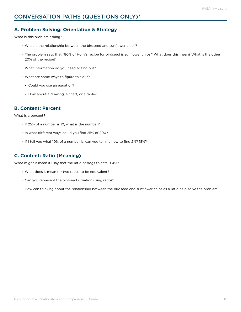#### **A. Problem Solving: Orientation & Strategy**

What is this problem asking?

- What is the relationship between the birdseed and sunflower chips?
- The problem says that "80% of Holly's recipe for birdseed is sunflower chips." What does this mean? What is the other 20% of the recipe?
- What information do you need to find out?
- What are some ways to figure this out?
	- Could you use an equation?
	- How about a drawing, a chart, or a table?

#### **B. Content: Percent**

What is a percent?

- If 25% of a number is 10, what is the number?
- In what different ways could you find 25% of 200?
- If I tell you what 10% of a number is, can you tell me how to find 2%? 18%?

#### **C. Content: Ratio (Meaning)**

What might it mean if I say that the ratio of dogs to cats is 4:3?

- What does it mean for two ratios to be equivalent?
- Can you represent the birdseed situation using ratios?
- How can thinking about the relationship between the birdseed and sunflower chips as a ratio help solve the problem?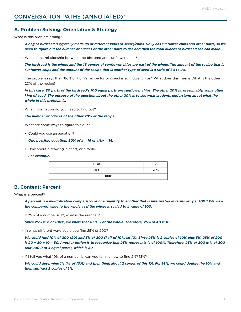#### **A. Problem Solving: Orientation & Strategy**

What is this problem asking?

*A bag of birdseed is typically made up of different kinds of seeds/chips. Holly has sunflower chips and other parts, so we need to figure out the number of ounces of the other parts to use and then the total ounces of birdseed she can make.*

• What is the relationship between the birdseed and sunflower chips?

*The birdseed is the whole and the 16 ounces of sunflower chips are part of the whole. The amount of the recipe that is sunflower chips and the amount of the recipe that is another type of seed is a ratio of 80 to 20.*

• The problem says that "80% of Holly's recipe for birdseed is sunflower chips." What does this mean? What is the other 20% of the recipe?

*In this case, 80 parts of the birdseed's 100 equal parts are sunflower chips. The other 20% is, presumably, some other kind of seed. The purpose of the question about the other 20% is to see what students understand about what the whole in this problem is.*

• What information do you need to find out?

*The number of ounces of the other 20% of the recipe.*

- What are some ways to figure this out?
	- Could you use an equation?

*One possible equation: 80% of* **x** *= 16 or (4/5)x = 16.* 

• How about a drawing, a chart, or a table?

*For example:*

| 16 oz |     |  |  |  |
|-------|-----|--|--|--|
| 80%   | 20% |  |  |  |
| 100%  |     |  |  |  |

#### **B. Content: Percent**

What is a percent?

*A percent is a multiplicative comparison of one quantity to another that is interpreted in terms of "per 100." We view the compared value to the whole as if the whole is scaled to a value of 100.* 

• If 25% of a number is 10, what is the number?

*Since 25% is 1/4 of 100%, we know that 10 is 1/4 of the whole. Therefore, 25% of 40 is 10.*

• In what different ways could you find 25% of 200?

*We could find 10% of 200 (20) and 5% of 200 (half of 10%, so 10). Since 25% is 2 copies of 10% plus 5%, 25% of 200 is 20 + 20 + 10 = 50. Another option is to recognize that 25% represents ¼ of 100%. Therefore, 25% of 200 is ¼ of 200 (cut 200 into 4 equal parts), which is 50.*

• If I tell you what 10% of a number is, can you tell me how to find 2%? 18%?

*We could determine 1% (1/<sub>0</sub> of 10%) and then think about 2 copies of this 1%. For 18%, we could double the 10% and then subtract 2 copies of 1%.*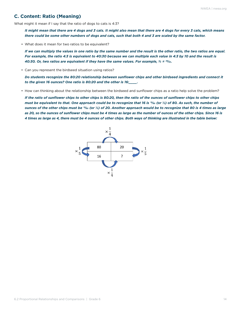#### **C. Content: Ratio (Meaning)**

What might it mean if I say that the ratio of dogs to cats is 4:3?

*It might mean that there are 4 dogs and 3 cats. It might also mean that there are 4 dogs for every 3 cats, which means there could be some other numbers of dogs and cats, such that both 4 and 3 are scaled by the same factor.*

• What does it mean for two ratios to be equivalent?

*If we can multiply the values in one ratio by the same number and the result is the other ratio, the two ratios are equal. For example, the ratio 4:3 is equivalent to 40:30 because we can multiple each value in 4:3 by 10 and the result is 40:30. Or, two ratios are equivalent if they have the same values. For example, 4/3 = 40/30.*

• Can you represent the birdseed situation using ratios?

*Do students recognize the 80:20 relationship between sunflower chips and other birdseed ingredients and connect it to the given 16 ounces? One ratio is 80:20 and the other is 16:\_\_\_\_.*

• How can thinking about the relationship between the birdseed and sunflower chips as a ratio help solve the problem?

*If the ratio of sunflower chips to other chips is 80:20, then the ratio of the ounces of sunflower chips to other chips must be equivalent to that. One approach could be to recognize that 16 is 16/80 (or 1/5) of 80. As such, the number of ounces of the other chips must be 16/80 (or 1/5) of 20. Another approach would be to recognize that 80 is 4 times as large as 20, so the ounces of sunflower chips must be 4 times as large as the number of ounces of the other chips. Since 16 is 4 times as large as 4, there must be 4 ounces of other chips. Both ways of thinking are illustrated in the table below:*

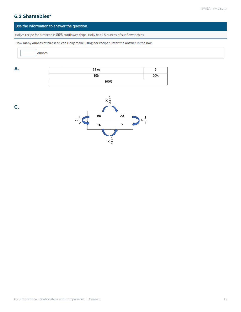## **6.2 Shareables\***

#### Use the information to answer the question.

Holly's recipe for birdseed is 80% sunflower chips. Holly has 16 ounces of sunflower chips.

How many ounces of birdseed can Holly make using her recipe? Enter the answer in the box.

ounces

| 16 oz |     |
|-------|-----|
| 80%   | 20% |
| 100%  |     |



**A.**

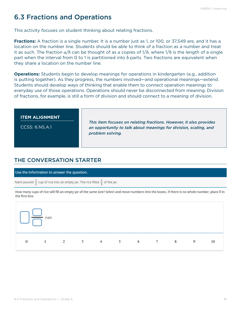## <span id="page-15-0"></span>6.3 Fractions and Operations

This activity focuses on student thinking about relating fractions.

**Fractions:** A fraction is a single number. It is a number just as 1, or 100, or 37,549 are, and it has a location on the number line. Students should be able to think of a fraction as a number and treat it as such. The fraction *a/b* can be thought of as *a* copies of 1/*b*, where 1/*b* is the length of a single part when the interval from 0 to 1 is partitioned into *b* parts. Two fractions are equivalent when they share a location on the number line.

**Operations:** Students begin to develop meanings for operations in kindergarten (e.g., addition is putting together). As they progress, the numbers involved—and operational meanings—extend. Students should develop ways of thinking that enable them to connect operation meanings to everyday use of those operations. Operations should never be disconnected from meaning. Division of fractions, for example, is still a form of division and should connect to a meaning of division.

| an opportunity to talk about meanings for division, scaling, and<br>problem solving. |
|--------------------------------------------------------------------------------------|
|--------------------------------------------------------------------------------------|

## THE CONVERSATION STARTER

Use the information to answer the question.

Nami poured  $\frac{2}{3}$  cup of rice into an empty jar. The rice filled  $\frac{3}{5}$  of the jar.

How many cups of rice will fill an empty jar of the same size? Select and move numbers into the boxes. If there is no whole number, place () in the first box.

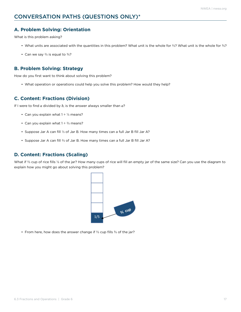#### **A. Problem Solving: Orientation**

What is this problem asking?

- What units are associated with the quantities in this problem? What unit is the whole for %? What unit is the whole for %?
- Can we say  $\frac{2}{3}$  is equal to  $\frac{3}{5}$ ?

#### **B. Problem Solving: Strategy**

How do you first want to think about solving this problem?

• What operation or operations could help you solve this problem? How would they help?

#### **C. Content: Fractions (Division)**

If I were to find *a* divided by *b*, is the answer always smaller than *a*?

- Can you explain what  $1 \div \frac{1}{3}$  means?
- Can you explain what  $1 \div 2/3$  means?
- Suppose Jar A can fill 1/3 of Jar B. How many times can a full Jar B fill Jar A?
- Suppose Jar A can fill <sup>2/3</sup> of Jar B. How many times can a full Jar B fill Jar A?

#### **D. Content: Fractions (Scaling)**

What if  $\frac{2}{3}$  cup of rice fills  $\frac{1}{3}$  of the jar? How many cups of rice will fill an empty jar of the same size? Can you use the diagram to explain how you might go about solving this problem?



• From here, how does the answer change if  $\frac{2}{3}$  cup fills  $\frac{3}{5}$  of the jar?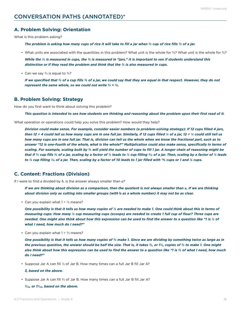#### **A. Problem Solving: Orientation**

What is this problem asking?

*The problem is asking how many cups of rice it will take to fill a jar when 2/3 cup of rice fills 3/5 of a jar.*

• What units are associated with the quantities in this problem? What unit is the whole for  $\frac{2}{3}$ ? What unit is the whole for  $\frac{2}{3}$ ?

*While the <sup>2</sup>/<sub>3</sub> is measured in cups, the <sup>3</sup>/<sub>5</sub> is measured in "jars." It is important to see if students understand this distinction or if they read the problem and think that the 3/5 is also measured in cups.*

• Can we say  $\frac{2}{3}$  is equal to  $\frac{3}{5}$ ?

If we specified that  $\frac{2}{3}$  of a cup fills  $\frac{2}{3}$  of a jar, we could say that they are equal in that respect. However, they do not *represent the same whole, so we could not write 2/3 = 3/5.*

#### **B. Problem Solving: Strategy**

How do you first want to think about solving this problem?

*This question is intended to see how students are thinking and reasoning about the problem upon their first read of it.*

What operation or operations could help you solve this problem? How would they help?

*Division could make sense. For example, consider easier numbers (a problem-solving strategy): If 12 cups filled 4 jars, then 12 ÷ 4 could tell us how many cups are in one full jar. Similarly, if 12 cups filled 1/4 of a jar, 12 ÷ 1/4 could still tell us how many cups are in one full jar. That is, division can tell us the whole when we know the fractional part, such as to answer "12 is one-fourth of the whole, what is the whole?" Multiplication could also make sense, specifically in terms of scaling. For example, scaling both by 5/3 will yield the number of cups to fill 1 jar. A longer chain of reasoning might be that if 2/3 cup fills 3/5 of a jar, scaling by a factor of 1/2 leads to 1/3 cup filling 3/10 of a jar. Then, scaling by a factor of 1/3 leads to 1/9 cup filling 1/10 of a jar. Then, scaling by a factor of 10 leads to 1 jar filled with 10/9 cups or 1 and 1/9 cups.*

#### **C. Content: Fractions (Division)**

If I were to find a divided by *b*, is the answer always smaller than *a*?

*If we are thinking about division as a comparison, then the quotient is not always smaller than* **a***. If we are thinking about division only as cutting into smaller groups (with* **b** *as a whole number) it may not be as clear.*

• Can you explain what  $1 \div \frac{1}{3}$  means?

*One possibility is that it tells us how many copies of 1/3 are needed to make 1. One could think about this in terms of measuring cups: How many 1/3 cup measuring cups (scoops) are needed to create 1 full cup of flour? Three cups are needed. One might also think about how this expression can be used to find the answer to a question like "1 is 1/3 of what I need, how much do I need?"*

• Can you explain what  $1 \div 2/3$  means?

*One possibility is that it tells us how many copies of 2/3 make 1. Since we are dividing by something twice as large as in the previous question, the answer should be half the size. That is, it takes 3/2, or 11/2, copies of 2/3 to make 1. One might also think about how this expression can be used to find the answer to a question like "1 is 2/3 of what I need, how much do I need?"*

• Suppose Jar A can fill 1/3 of Jar B. How many times can a full Jar B fill Jar A?

#### *3, based on the above.*

• Suppose Jar A can fill <sup>2</sup>/<sub>3</sub> of Jar B. How many times can a full Jar B fill Jar A?

*3/( 2), or 11/( 2), based on the above.*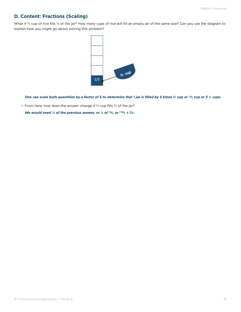### **D. Content: Fractions (Scaling)**

What if  $\frac{2}{3}$  cup of rice fills  $\frac{1}{3}$  of the jar? How many cups of rice will fill an empty jar of the same size? Can you use the diagram to explain how you might go about solving this problem?



*One can scale both quantities by a factor of 5 to determine that 1 jar is filled by 5 times 2/3 cup or 10/3 cup or 3 1/3 cups.*

• From here, how does the answer change if  $\frac{2}{3}$  cup fills  $\frac{3}{3}$  of the jar?

We would need  $\frac{1}{3}$  of the previous answer, or  $\frac{1}{3}$  of  $\frac{10}{3}$ , or  $\frac{(10)}{9}$  = 1%.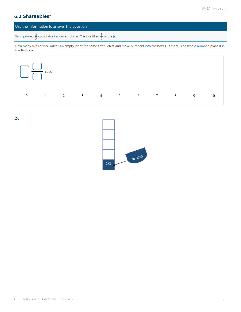## **6.3 Shareables\***

#### Use the information to answer the question.

Nami poured  $\frac{2}{3}$  cup of rice into an empty jar. The rice filled  $\frac{3}{5}$  of the jar.

How many cups of rice will fill an empty jar of the same size? Select and move numbers into the boxes. If there is no whole number, place () in the first box.



**D.**

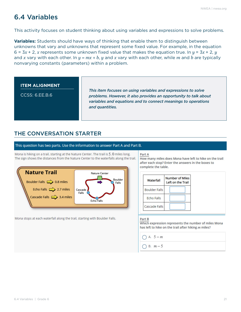## <span id="page-20-0"></span>6.4 Variables

This activity focuses on student thinking about using variables and expressions to solve problems.

**Variables:** Students should have ways of thinking that enable them to distinguish between unknowns that vary and unknowns that represent some fixed value. For example, in the equation 6 =  $3x + 2$ , *x* represents some unknown fixed value that makes the equation true. In  $y = 3x + 2$ ,  $y = 3x + 2$ and *x* vary with each other. In *y = mx + b*, *y* and *x* vary with each other, while *m* and *b* are typically nonvarying constants (parameters) within a problem.

#### **ITEM ALIGNMENT**

CCSS: 6.EE.B.6

*This item focuses on using variables and expressions to solve problems. However, it also provides an opportunity to talk about variables and equations and to connect meanings to operations and quantities.* 

## THE CONVERSATION STARTER

#### This question has two parts. Use the information to answer Part A and Part B.

Mona is hiking on a trail, starting at the Nature Center. The trail is 5, 0 miles long. The sign shows the distances from the Nature Center to the waterfalls along the trail.



Mona stops at each waterfall along the trail, starting with Boulder Falls.

#### Part A

How many miles does Mona have left to hike on the trail after each stop? Enter the answers in the boxes to complete the table.

| Waterfall            | <b>Number of Miles</b><br>Left on the Trail |
|----------------------|---------------------------------------------|
| <b>Boulder Falls</b> |                                             |
| <b>Echo Falls</b>    |                                             |
| Cascade Falls        |                                             |

#### Part B

Which expression represents the number of miles Mona has left to hike on the trail after hiking  $m$  miles?

- $\bigcap$  A. 5 m
- $\bigcap$  B.  $m-5$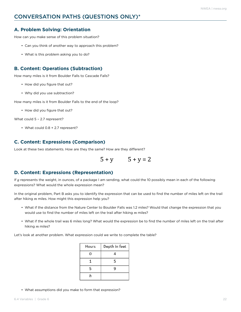## CONVERSATION PATHS (QUESTIONS ONLY)\*

#### **A. Problem Solving: Orientation**

How can you make sense of this problem situation?

- Can you think of another way to approach this problem?
- What is this problem asking you to do?

#### **B. Content: Operations (Subtraction)**

How many miles is it from Boulder Falls to Cascade Falls?

- How did you figure that out?
- Why did you use subtraction?

How many miles is it from Boulder Falls to the end of the loop?

• How did you figure that out?

What could 5 - 2.7 represent?

• What could 0.8 + 2.7 represent?

#### **C. Content: Expressions (Comparison)**

Look at these two statements. How are they the same? How are they different?

$$
5 + y \qquad \quad 5 + y = 2
$$

#### **D. Content: Expressions (Representation)**

If *g* represents the weight, in ounces, of a package I am sending, what could the 10 possibly mean in each of the following expressions? What would the whole expression mean?

In the original problem, Part B asks you to identify the expression that can be used to find the number of miles left on the trail after hiking *m* miles. How might this expression help you?

- What if the distance from the Nature Center to Boulder Falls was 1.2 miles? Would that change the expression that you would use to find the number of miles left on the trail after hiking *m* miles?
- What if the whole trail was 6 miles long? What would the expression be to find the number of miles left on the trail after hiking *m* miles?

Let's look at another problem. What expression could we write to complete the table?

| Hours | Depth in feet |
|-------|---------------|
| 0     |               |
|       | 5             |
| 5     | q             |
|       |               |

• What assumptions did you make to form that expression?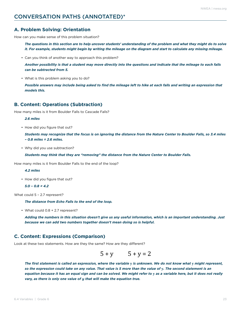## CONVERSATION PATHS (ANNOTATED)\*

#### **A. Problem Solving: Orientation**

How can you make sense of this problem situation?

*The questions in this section are to help uncover students' understanding of the problem and what they might do to solve it. For example, students might begin by writing the mileage on the diagram and start to calculate any missing mileage.* 

• Can you think of another way to approach this problem?

*Another possibility is that a student may move directly into the questions and indicate that the mileage to each falls can be subtracted from 5.*

• What is this problem asking you to do?

*Possible answers may include being asked to find the mileage left to hike at each falls and writing an expression that models this.*

#### **B. Content: Operations (Subtraction)**

How many miles is it from Boulder Falls to Cascade Falls?

*2.6 miles*

• How did you figure that out?

*Students may recognize that the focus is on ignoring the distance from the Nature Center to Boulder Falls, so 3.4 miles – 0.8 miles = 2.6 miles.*

• Why did you use subtraction?

*Students may think that they are "removing" the distance from the Nature Center to Boulder Falls.*

How many miles is it from Boulder Falls to the end of the loop?

*4.2 miles*

• How did you figure that out?

```
5.0 – 0.8 = 4.2
```
What could 5 – 2.7 represent?

*The distance from Echo Falls to the end of the loop.*

• What could 0.8 + 2.7 represent?

*Adding the numbers in this situation doesn't give us any useful information, which is an important understanding. Just because we can add two numbers together doesn't mean doing so is helpful.*

#### **C. Content: Expressions (Comparison)**

Look at these two statements. How are they the same? How are they different?

$$
5 + y \qquad \quad 5 + y = 2
$$

*The first statement is called an expression, where the variable* **y** *is unknown. We do not know what* **y** *might represent, so the expression could take on any value. That value is 5 more than the value of* **y***. The second statement is an equation because it has an equal sign and can be solved. We might refer to* **y** *as a variable here, but it does not really vary, as there is only one value of y that will make the equation true.*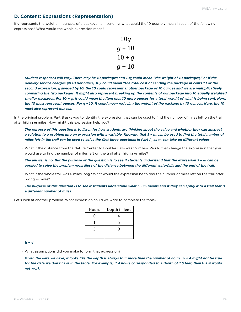#### **D. Content: Expressions (Representation)**

If g represents the weight, in ounces, of a package I am sending, what could the 10 possibly mean in each of the following expressions? What would the whole expression mean?

$$
10g
$$
  
 
$$
g \div 10
$$
  
 
$$
10 + g
$$
  
 
$$
g - 10
$$

*Student responses will vary. There may be 10 packages and 10***g** *could mean "the weight of 10 packages," or if the delivery service charges \$0.10 per ounce, 10***g** *could mean "the total cost of sending the package in cents." For the second expression,* **g** *divided by 10, the 10 could represent another package of 10 ounces and we are multiplicatively*  comparing the two packages. It might also represent breaking up the contents of our package into 10 equally weighted *smaller packages. For 10 +* **g***, it could mean the item plus 10 more ounces for a total weight of what is being sent. Here, the 10 must represent ounces. For* **g** *– 10, it could mean reducing the weight of the package by 10 ounces. Here, the 10 must also represent ounces.*

In the original problem, Part B asks you to identify the expression that can be used to find the number of miles left on the trail after hiking *m* miles. How might this expression help you?

*The purpose of this question is to listen for how students are thinking about the value and whether they can abstract a solution to a problem into an expression with a variable. Knowing that 5 –* **m** *can be used to find the total number of miles left in the trail can be used to solve the first three questions in Part A, as* **m** *can take on different values.*

• What if the distance from the Nature Center to Boulder Falls was 1.2 miles? Would that change the expression that you would use to find the number of miles left on the trail after hiking *m* miles?

*The answer is no. But the purpose of the question is to see if students understand that the expression 5 –* **m** *can be applied to solve the problem regardless of the distance between the different waterfalls and the end of the trail.*

• What if the whole trail was 6 miles long? What would the expression be to find the number of miles left on the trail after hiking *m* miles?

*The purpose of this question is to see if students understand what 5 –* **m** *means and if they can apply it to a trail that is a different number of miles.*

Let's look at another problem. What expression could we write to complete the table?

| Hours | Depth in feet |
|-------|---------------|
| 0     | 4             |
|       | 5             |
| 5     | Q             |
| h     |               |

**h** *+ 4*

• What assumptions did you make to form that expression?

*Given the data we have, it looks like the depth is always four more than the number of hours.* **h** *+ 4 might not be true*  for the data we don't have in the table. For example, if 4 hours corresponded to a depth of 7.5 feet, then  $h + 4$  would *not work.*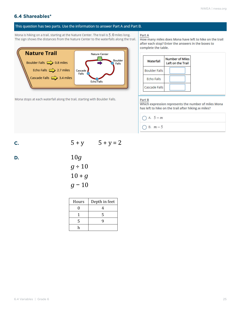#### **6.4 Shareables\***

#### This question has two parts. Use the information to answer Part A and Part B.

Mona is hiking on a trail, starting at the Nature Center. The trail is 5, 0 miles long. The sign shows the distances from the Nature Center to the waterfalls along the trail.



Mona stops at each waterfall along the trail, starting with Boulder Falls.

Part A

How many miles does Mona have left to hike on the trail after each stop? Enter the answers in the boxes to complete the table.

| Waterfall            | <b>Number of Miles</b><br>Left on the Trail |
|----------------------|---------------------------------------------|
| <b>Boulder Falls</b> |                                             |
| <b>Echo Falls</b>    |                                             |
| Cascade Falls        |                                             |

#### Part B

Which expression represents the number of miles Mona has left to hike on the trail after hiking  $m$  miles?

- $\bigcap A. 5-m$
- $O$  B.  $m-5$

**c.**  $5 + y$   $5 + y = 2$ 

D.

\n
$$
10g
$$
\n
$$
g \div 10
$$
\n
$$
10 + g
$$
\n
$$
g - 10
$$

| Hours | Depth in feet |
|-------|---------------|
|       |               |
|       | ς             |
| 5     |               |
|       |               |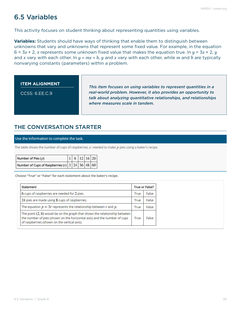## <span id="page-25-0"></span>6.5 Variables

This activity focuses on student thinking about representing quantities using variables.

**Variables:** Students should have ways of thinking that enable them to distinguish between unknowns that vary and unknowns that represent some fixed value. For example, in the equation 6 =  $3x + 2$ , *x* represents some unknown fixed value that makes the equation true. In  $y = 3x + 2$ , *y* and *x* vary with each other. In *y = mx + b*, *y* and *x* vary with each other, while *m* and *b* are typically nonvarying constants (parameters) within a problem.

**ITEM ALIGNMENT**

CCSS: 6.EE.C.9

*This item focuses on using variables to represent quantities in a real-world problem. However, it also provides an opportunity to talk about analyzing quantitative relationships, and relationships where measures scale in tandem.* 

## THE CONVERSATION STARTER

#### Use the information to complete the task.

The table shows the number of cups of raspberries,  $r$ , needed to make  $p$  pies using a baker's recipe.

| Number of Pies $(p)$                                      |  |  | $18$ 12 16 20 |
|-----------------------------------------------------------|--|--|---------------|
| Number of Cups of Raspberries (r) $3   24   36   48   60$ |  |  |               |

Choose "True" or "False" for each statement about the baker's recipe.

| Statement                                                                                                                                                                                                | <b>True or False?</b> |       |
|----------------------------------------------------------------------------------------------------------------------------------------------------------------------------------------------------------|-----------------------|-------|
| 6 cups of raspberries are needed for 2 pies.                                                                                                                                                             | True                  | False |
| 24 pies are made using 8 cups of raspberries.                                                                                                                                                            | True                  | False |
| The equation $p = 3r$ represents the relationship between r and p.                                                                                                                                       | True                  | False |
| The point $(2, 6)$ would be on the graph that shows the relationship between<br>the number of pies (shown on the horizontal axis) and the number of cups<br>of raspberries (shown on the vertical axis). | True                  | False |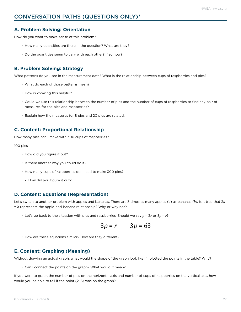## CONVERSATION PATHS (QUESTIONS ONLY)\*

#### **A. Problem Solving: Orientation**

How do you want to make sense of this problem?

- How many quantities are there in the question? What are they?
- Do the quantities seem to vary with each other? If so how?

#### **B. Problem Solving: Strategy**

What patterns do you see in the measurement data? What is the relationship between cups of raspberries and pies?

- What do each of those patterns mean?
- How is knowing this helpful?
- Could we use this relationship between the number of pies and the number of cups of raspberries to find any pair of measures for the pies and raspberries?
- Explain how the measures for 8 pies and 20 pies are related.

#### **C. Content: Proportional Relationship**

How many pies can I make with 300 cups of raspberries?

#### 100 pies

- How did you figure it out?
- Is there another way you could do it?
- How many cups of raspberries do I need to make 300 pies?
	- How did you figure it out?

#### **D. Content: Equations (Representation)**

Let's switch to another problem with apples and bananas. There are 3 times as many apples (*a*) as bananas (*b*). Is it true that 3*a*  $= b$  represents the apple-and-banana relationship? Why or why not?

• Let's go back to the situation with pies and raspberries. Should we say *p* = 3*r* or 3*p* = *r*?

$$
3p = r \qquad 3p = 63
$$

• How are these equations similar? How are they different?

#### **E. Content: Graphing (Meaning)**

Without drawing an actual graph, what would the shape of the graph look like if I plotted the points in the table? Why?

• Can I connect the points on the graph? What would it mean?

If you were to graph the number of pies on the horizontal axis and number of cups of raspberries on the vertical axis, how would you be able to tell if the point (2, 6) was on the graph?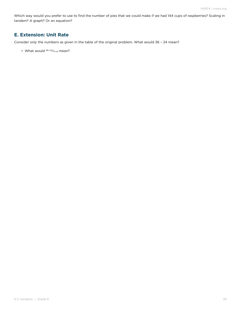Which way would you prefer to use to find the number of pies that we could make if we had 144 cups of raspberries? Scaling in tandem? A graph? Or an equation?

#### **E. Extension: Unit Rate**

Consider *only* the numbers as given in the table of the original problem. What would 36 – 24 mean?

• What would  $36-24/12-8$  mean?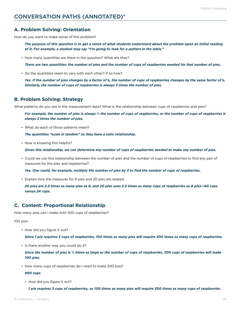## CONVERSATION PATHS (ANNOTATED)\*

#### **A. Problem Solving: Orientation**

How do you want to make sense of this problem?

*The purpose of this question is to get a sense of what students understand about the problem upon an initial reading of it. For example, a student may say "I'm going to look for a pattern in the table."*

• How many quantities are there in the question? What are they?

*There are two quantities: the number of pies and the number of cups of raspberries needed for that number of pies.*

• Do the quantities seem to vary with each other? If so how?

*Yes. If the number of pies changes by a factor of* **k***, the number of cups of raspberries changes by the same factor of* **k***. Similarly, the number of cups of raspberries is always 3 times the number of pies.*

#### **B. Problem Solving: Strategy**

What patterns do you see in the measurement data? What is the relationship between cups of raspberries and pies?

*For example, the number of pies is always 1/3 the number of cups of raspberries, or the number of cups of raspberries is always 3 times the number of pies.*

• What do each of those patterns mean?

*The quantities "scale in tandem" so they have a ratio relationship.*

• How is knowing this helpful?

*Given this relationship, we can determine any number of cups of raspberries needed to make any number of pies.*

• Could we use this relationship between the number of pies and the number of cups of raspberries to find any pair of measures for the pies and raspberries?

*Yes. One could, for example, multiply the number of pies by 3 to find the number of cups of raspberries.*

• Explain how the measures for 8 pies and 20 pies are related.

*20 pies are 2.5 times as many pies as 8, and 20 pies uses 2.5 times as many cups of raspberries as 8 pies—60 cups versus 24 cups.*

#### **C. Content: Proportional Relationship**

How many pies can I make with 300 cups of raspberries?

#### 100 pies

• How did you figure it out?

*Since 1 pie requires 3 cups of raspberries, 100 times as many pies will require 300 times as many cups of raspberries.*

• Is there another way you could do it?

*Since the number of pies is 1/3 times as large as the number of cups of raspberries, 300 cups of raspberries will make 100 pies.* 

• How many cups of raspberries do I need to make 300 pies?

*900 cups*

• How did you figure it out?

*1 pie requires 3 cups of raspberries, so 100 times as many pies will require 300 times as many cups of raspberries.*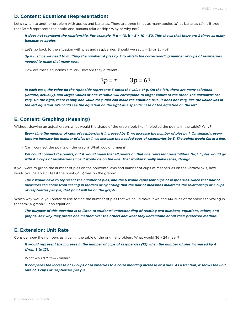#### **D. Content: Equations (Representation)**

Let's switch to another problem with apples and bananas. There are three times as many apples (*a*) as bananas (*b*). Is it true that  $3a = b$  represents the apple-and-banana relationship? Why or why not?

*It does not represent the relationship. For example, if a = 10, b = 3 × 10 = 30. This shows that there are 3 times as many bananas as apples.*

• Let's go back to the situation with pies and raspberries. Should we say  $p = 3r$  or  $3p = r$ ?

*3***p** *=* **r***, since we need to multiply the number of pies by 3 to obtain the corresponding number of cups of raspberries needed to make that many pies.*

• How are these equations similar? How are they different?

$$
3p = r \qquad 3p = 63
$$

*In each case, the value on the right side represents 3 times the value of* **p***. On the left, there are many solutions (infinite, actually), and larger values of one variable will correspond to larger values of the other. The unknowns can vary. On the right, there is only one value for* **p** *that can make the equation true. It does not vary, like the unknowns in the left equation. We could see the equation on the right as a specific case of the equation on the left.* 

#### **E. Content: Graphing (Meaning)**

Without drawing an actual graph, what would the shape of the graph look like if I plotted the points in the table? Why?

*Every time the number of cups of raspberries is increased by 3, we increase the number of pies by 1. Or, similarly, every time we increase the number of pies by 1, we increase the needed cups of raspberries by 3. The points would fall in a line.*

• Can I connect the points on the graph? What would it mean?

*We could connect the points, but it would mean that all points on that line represent possibilities. So, 1.5 pies would go with 4.5 cups of raspberries since it would be on the line. That wouldn't really make sense, though.*

If you were to graph the number of pies on the horizontal axis and number of cups of raspberries on the vertical axis, how would you be able to tell if the point (2, 6) was on the graph?

*The 2 would have to represent the number of pies, and the 6 would represent cups of raspberries. Since that pair of measures can come from scaling in tandem or by noting that the pair of measures maintains the relationship of 3 cups of raspberries per pie, that point will be on the graph.*

Which way would you prefer to use to find the number of pies that we could make if we had 144 cups of raspberries? Scaling in tandem? A graph? Or an equation?

*The purpose of this question is to listen to students' understanding of relating two numbers, equations, tables, and graphs. Ask why they prefer one method over the others and what they understand about their preferred method.*

#### **E. Extension: Unit Rate**

Consider *only* the numbers as given in the table of the original problem. What would 36 – 24 mean?

*It would represent the increase in the number of cups of raspberries (12) when the number of pies increased by 4 (from 8 to 12).*

• What would  $36-24/12-8$  mean?

*It compares the increase of 12 cups of raspberries to a corresponding increase of 4 pies. As a fraction, it shows the unit rate of 3 cups of raspberries per pie.*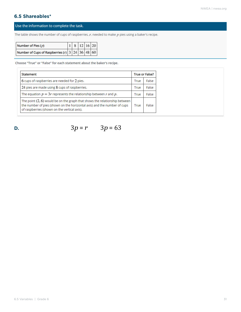## **6.5 Shareables\***

#### Use the information to complete the task.

The table shows the number of cups of raspberries,  $r$ , needed to make  $p$  pies using a baker's recipe.

| Number of Pies $(p)$                                      |  | $\begin{array}{ c c c c c } \hline 1 & 8 & 12 & 16 & 20 \\ \hline \end{array}$ |  |
|-----------------------------------------------------------|--|--------------------------------------------------------------------------------|--|
| Number of Cups of Raspberries (r) $3   24   36   48   60$ |  |                                                                                |  |

Choose "True" or "False" for each statement about the baker's recipe.

| Statement                                                                                                                                                                                                | <b>True or False?</b> |       |
|----------------------------------------------------------------------------------------------------------------------------------------------------------------------------------------------------------|-----------------------|-------|
| 6 cups of raspberries are needed for 2 pies.                                                                                                                                                             | True                  | False |
| 24 pies are made using 8 cups of raspberries.                                                                                                                                                            | True                  | False |
| The equation $p = 3r$ represents the relationship between r and p.                                                                                                                                       | True                  | False |
| The point $(2, 6)$ would be on the graph that shows the relationship between<br>the number of pies (shown on the horizontal axis) and the number of cups<br>of raspberries (shown on the vertical axis). | True                  | False |

**D.**  $3p = r$   $3p = 63$